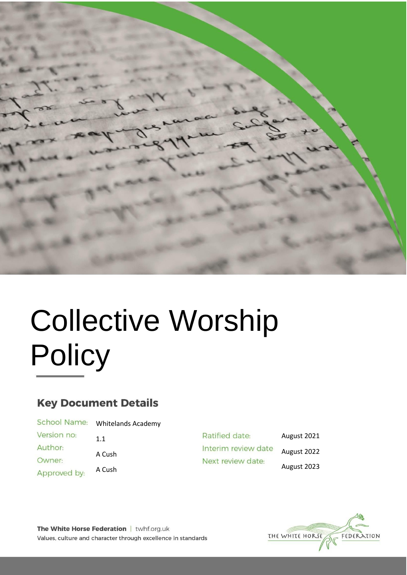

# Collective Worship **Policy**

# **Key Document Details**

| School Name: | <b>Whitelands Academy</b> |
|--------------|---------------------------|
| Version no:  | 1.1                       |
| Author:      |                           |
| Owner:       | A Cush                    |
| Approved by: | A Cush                    |
|              |                           |

| Ratified date:      | August 2021 |
|---------------------|-------------|
| Interim review date | August 2022 |
| Next review date:   | August 2023 |



The White Horse Federation | twhf.org.uk Values, culture and character through excellence in standards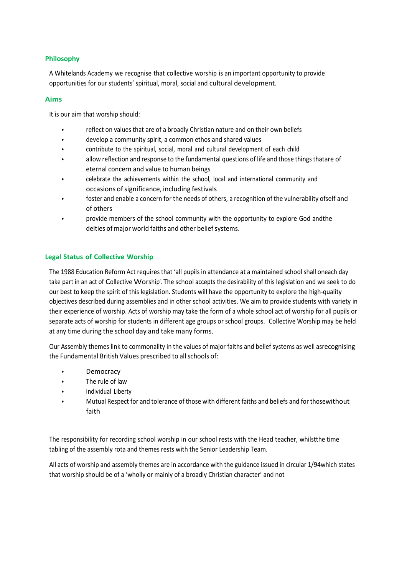# **Philosophy**

A Whitelands Academy we recognise that collective worship is an important opportunity to provide opportunities for our students' spiritual, moral, social and cultural development.

#### **Aims**

It is our aim that worship should:

- reflect on values that are of a broadly Christian nature and on their own beliefs
- develop a community spirit, a common ethos and shared values
- contribute to the spiritual, social, moral and cultural development of each child
- allow reflection and response to the fundamental questions of life and those things thatare of eternal concern and value to human beings
- celebrate the achievements within the school, local and international community and occasions of significance, including festivals
- foster and enable a concern for the needs of others, a recognition of the vulnerability ofself and of others
- provide members of the school community with the opportunity to explore God andthe deities of major world faiths and other belief systems.

# **Legal Status of Collective Worship**

The 1988 Education Reform Act requires that 'all pupils in attendance at a maintained school shall oneach day take part in an act of Collective Worship'. The school accepts the desirability of this legislation and we seek to do our best to keep the spirit of this legislation. Students will have the opportunity to explore the high-quality objectives described during assemblies and in other school activities. We aim to provide students with variety in their experience of worship. Acts of worship may take the form of a whole school act of worship for all pupils or separate acts of worship for students in different age groups or school groups. Collective Worship may be held at any time during the school day and take many forms.

Our Assembly themes link to commonality in the values of major faiths and belief systems as well asrecognising the Fundamental British Values prescribed to all schools of:

- **Democracy**
- The rule of law
- Individual Liberty
- Mutual Respect for and tolerance of those with different faiths and beliefs and for thosewithout faith

The responsibility for recording school worship in our school rests with the Head teacher, whilstthe time tabling of the assembly rota and themes rests with the Senior Leadership Team.

All acts of worship and assembly themes are in accordance with the guidance issued in circular 1/94which states that worship should be of a 'wholly or mainly of a broadly Christian character' and not